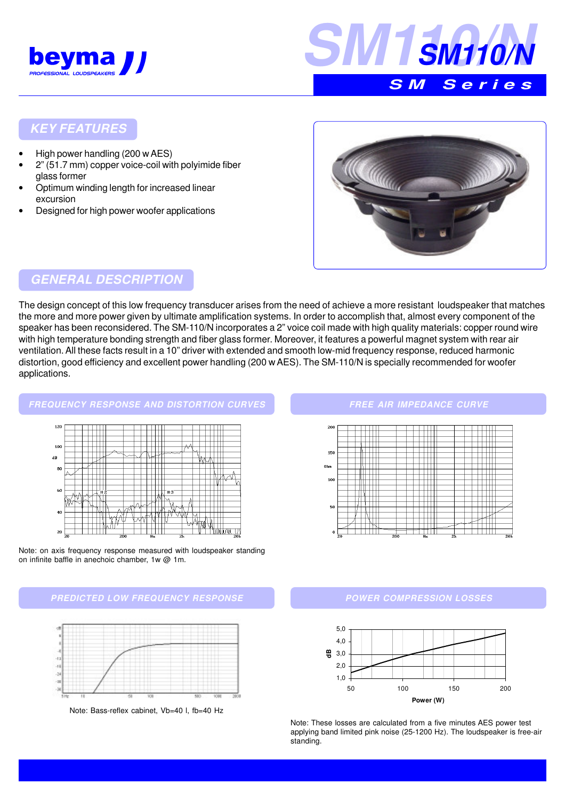



#### **KEY FEATURES**

- High power handling (200 w AES)
- 2" (51.7 mm) copper voice-coil with polyimide fiber glass former
- Optimum winding length for increased linear excursion
- Designed for high power woofer applications



## **GENERAL DESCRIPTION**

The design concept of this low frequency transducer arises from the need of achieve a more resistant loudspeaker that matches the more and more power given by ultimate amplification systems. In order to accomplish that, almost every component of the speaker has been reconsidered. The SM-110/N incorporates a 2" voice coil made with high quality materials: copper round wire with high temperature bonding strength and fiber glass former. Moreover, it features a powerful magnet system with rear air ventilation. All these facts result in a 10" driver with extended and smooth low-mid frequency response, reduced harmonic distortion, good efficiency and excellent power handling (200 w AES). The SM-110/N is specially recommended for woofer applications.

# **FREQUENCY RESPONSE AND DISTORTION CURVES**  $100$  $\overline{AB}$ 8 ╫ ŤΠ

<u>Tilalahi va 17</u> ШT 20

 $\overline{4}$ 

Note: on axis frequency response measured with loudspeaker standing on infinite baffle in anechoic chamber, 1w @ 1m.

#### **PREDICTED LOW FREQUENCY RESPONSE**



Note: Bass-reflex cabinet, Vb=40 l, fb=40 Hz

#### **FREE AIR IMPEDANCE CURVE**



#### **POWER COMPRESSION LOSSES**



Note: These losses are calculated from a five minutes AES power test applying band limited pink noise (25-1200 Hz). The loudspeaker is free-air standing.